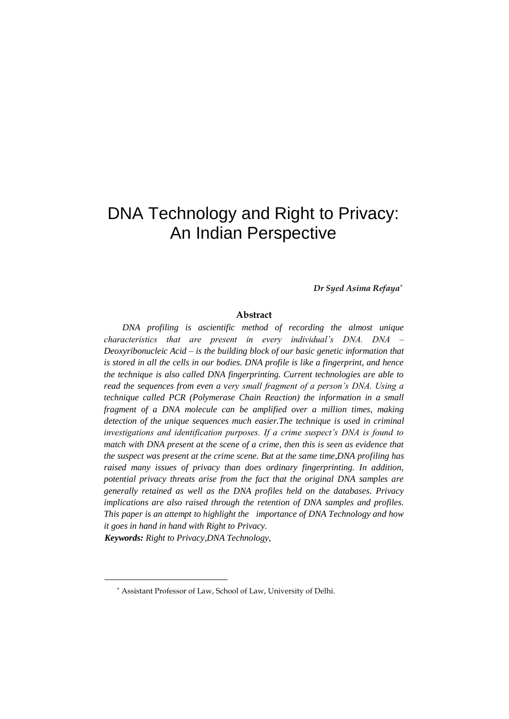*Dr Syed Asima Refaya\**

## **Abstract**

*DNA profiling is ascientific method of recording the almost unique characteristics that are present in every individual's DNA. DNA – Deoxyribonucleic Acid – is the building block of our basic genetic information that is stored in all the cells in our bodies. DNA profile is like a fingerprint, and hence the technique is also called DNA fingerprinting. Current technologies are able to read the sequences from even a very small fragment of a person's DNA. Using a technique called PCR (Polymerase Chain Reaction) the information in a small fragment of a DNA molecule can be amplified over a million times, making detection of the unique sequences much easier.The technique is used in criminal investigations and identification purposes. If a crime suspect's DNA is found to match with DNA present at the scene of a crime, then this is seen as evidence that the suspect was present at the crime scene. But at the same time,DNA profiling has raised many issues of privacy than does ordinary fingerprinting. In addition, potential privacy threats arise from the fact that the original DNA samples are generally retained as well as the DNA profiles held on the databases. Privacy implications are also raised through the retention of DNA samples and profiles. This paper is an attempt to highlight the importance of DNA Technology and how it goes in hand in hand with Right to Privacy.* 

*Keywords: Right to Privacy,DNA Technology,* 

<sup>\*</sup> Assistant Professor of Law, School of Law, University of Delhi.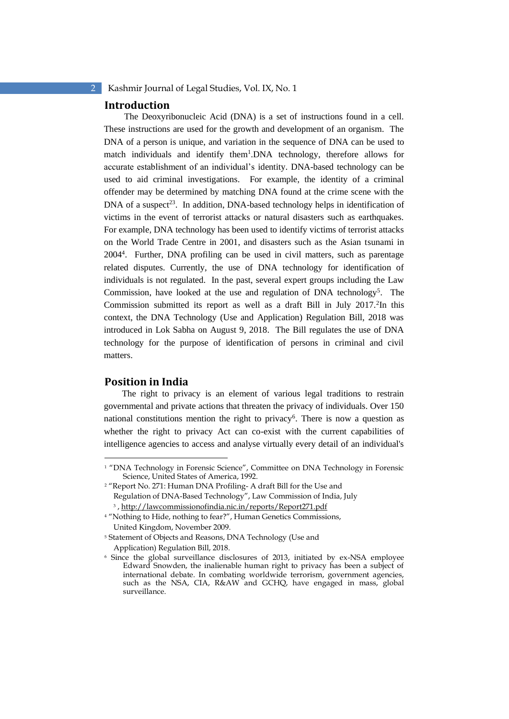## **Introduction**

The Deoxyribonucleic Acid (DNA) is a set of instructions found in a cell. These instructions are used for the growth and development of an organism. The DNA of a person is unique, and variation in the sequence of DNA can be used to match individuals and identify them<sup>1</sup>.DNA technology, therefore allows for accurate establishment of an individual's identity. DNA-based technology can be used to aid criminal investigations. For example, the identity of a criminal offender may be determined by matching DNA found at the crime scene with the DNA of a suspect<sup>23</sup>. In addition, DNA-based technology helps in identification of victims in the event of terrorist attacks or natural disasters such as earthquakes. For example, DNA technology has been used to identify victims of terrorist attacks on the World Trade Centre in 2001, and disasters such as the Asian tsunami in 2004<sup>4</sup> . Further, DNA profiling can be used in civil matters, such as parentage related disputes. Currently, the use of DNA technology for identification of individuals is not regulated. In the past, several expert groups including the Law Commission, have looked at the use and regulation of DNA technology<sup>5</sup>. The Commission submitted its report as well as a draft Bill in July 2017.<sup>2</sup>In this context, the DNA Technology (Use and Application) Regulation Bill, 2018 was introduced in Lok Sabha on August 9, 2018. The Bill regulates the use of DNA technology for the purpose of identification of persons in criminal and civil matters.

## **Position in India**

The right to privacy is an element of various legal traditions to restrain governmental and private actions that threaten the privacy of individuals. Over 150 national constitutions mention the right to privacy<sup>6</sup>. There is now a question as whether the right to privacy Act can co-exist with the current capabilities of intelligence agencies to access and analyse virtually every detail of an individual's

<sup>&</sup>lt;sup>1</sup> "DNA Technology in Forensic Science", Committee on DNA Technology in Forensic Science, United States of America, 1992.

<sup>&</sup>lt;sup>2</sup> "Report No. 271: Human DNA Profiling- A draft Bill for the Use and Regulation of DNA-Based Technology", Law Commission of India, July <sup>3</sup>, http://lawcommissionofindia.nic.in/reports/Report271.pdf

<sup>4</sup> "Nothing to Hide, nothing to fear?", Human Genetics Commissions, United Kingdom, November 2009.

<sup>5</sup> Statement of Objects and Reasons, DNA Technology (Use and Application) Regulation Bill, 2018.

<sup>6</sup> Since the global surveillance disclosures of 2013, initiated by ex-NSA employee Edward Snowden, the inalienable human right to privacy has been a subject of international debate. In combating worldwide terrorism, government agencies, such as the NSA, CIA, R&AW and GCHQ, have engaged in mass, global surveillance.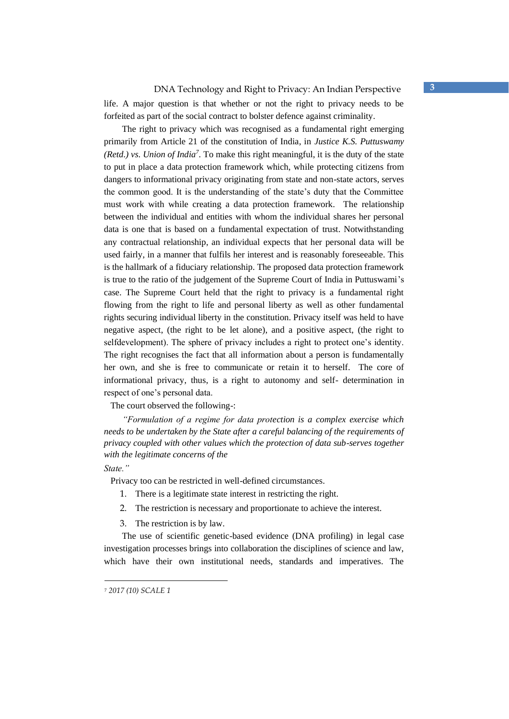life. A major question is that whether or not the right to privacy needs to be forfeited as part of the social contract to bolster defence against criminality.

The right to privacy which was recognised as a fundamental right emerging primarily from Article 21 of the constitution of India, in *Justice K.S. Puttuswamy (Retd.) vs. Union of India<sup>7</sup> .* To make this right meaningful, it is the duty of the state to put in place a data protection framework which, while protecting citizens from dangers to informational privacy originating from state and non-state actors, serves the common good. It is the understanding of the state's duty that the Committee must work with while creating a data protection framework. The relationship between the individual and entities with whom the individual shares her personal data is one that is based on a fundamental expectation of trust. Notwithstanding any contractual relationship, an individual expects that her personal data will be used fairly, in a manner that fulfils her interest and is reasonably foreseeable. This is the hallmark of a fiduciary relationship. The proposed data protection framework is true to the ratio of the judgement of the Supreme Court of India in Puttuswami's case. The Supreme Court held that the right to privacy is a fundamental right flowing from the right to life and personal liberty as well as other fundamental rights securing individual liberty in the constitution. Privacy itself was held to have negative aspect, (the right to be let alone), and a positive aspect, (the right to selfdevelopment). The sphere of privacy includes a right to protect one's identity. The right recognises the fact that all information about a person is fundamentally her own, and she is free to communicate or retain it to herself. The core of informational privacy, thus, is a right to autonomy and self- determination in respect of one's personal data.

The court observed the following-:

*"Formulation of a regime for data protection is a complex exercise which needs to be undertaken by the State after a careful balancing of the requirements of privacy coupled with other values which the protection of data sub-serves together with the legitimate concerns of the* 

*State."* 

Privacy too can be restricted in well-defined circumstances.

- 1. There is a legitimate state interest in restricting the right.
- 2. The restriction is necessary and proportionate to achieve the interest.

3. The restriction is by law.

The use of scientific genetic-based evidence (DNA profiling) in legal case investigation processes brings into collaboration the disciplines of science and law, which have their own institutional needs, standards and imperatives. The

<sup>7</sup> *2017 (10) SCALE 1*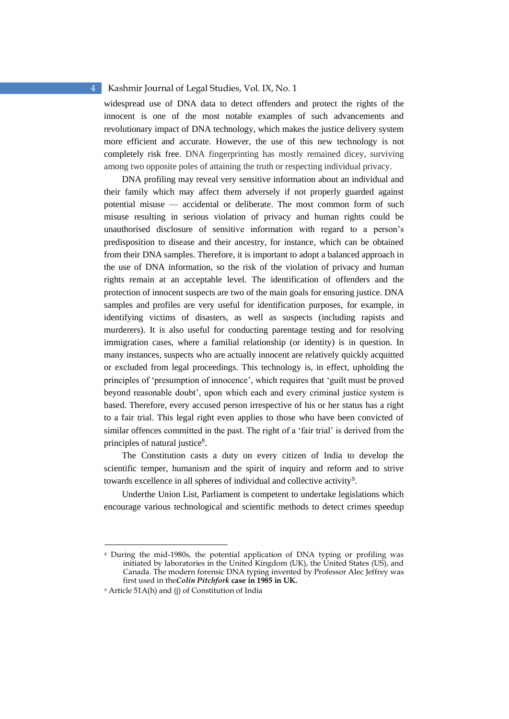widespread use of DNA data to detect offenders and protect the rights of the innocent is one of the most notable examples of such advancements and revolutionary impact of DNA technology, which makes the justice delivery system more efficient and accurate. However, the use of this new technology is not completely risk free. DNA fingerprinting has mostly remained dicey, surviving among two opposite poles of attaining the truth or respecting individual privacy.

DNA profiling may reveal very sensitive information about an individual and their family which may affect them adversely if not properly guarded against potential misuse — accidental or deliberate. The most common form of such misuse resulting in serious violation of privacy and human rights could be unauthorised disclosure of sensitive information with regard to a person's predisposition to disease and their ancestry, for instance, which can be obtained from their DNA samples. Therefore, it is important to adopt a balanced approach in the use of DNA information, so the risk of the violation of privacy and human rights remain at an acceptable level. The identification of offenders and the protection of innocent suspects are two of the main goals for ensuring justice. DNA samples and profiles are very useful for identification purposes, for example, in identifying victims of disasters, as well as suspects (including rapists and murderers). It is also useful for conducting parentage testing and for resolving immigration cases, where a familial relationship (or identity) is in question. In many instances, suspects who are actually innocent are relatively quickly acquitted or excluded from legal proceedings. This technology is, in effect, upholding the principles of 'presumption of innocence', which requires that 'guilt must be proved beyond reasonable doubt', upon which each and every criminal justice system is based. Therefore, every accused person irrespective of his or her status has a right to a fair trial. This legal right even applies to those who have been convicted of similar offences committed in the past. The right of a 'fair trial' is derived from the principles of natural justice<sup>8</sup>.

The Constitution casts a duty on every citizen of India to develop the scientific temper, humanism and the spirit of inquiry and reform and to strive towards excellence in all spheres of individual and collective activity<sup>9</sup>.

Underthe Union List, Parliament is competent to undertake legislations which encourage various technological and scientific methods to detect crimes speedup

<sup>8</sup> During the mid-1980s, the potential application of DNA typing or profiling was initiated by laboratories in the United Kingdom (UK), the United States (US), and Canada. The modern forensic DNA typing invented by Professor Alec Jeffrey was first used in the*Colin Pitchfork* **case in 1985 in UK.**

<sup>9</sup> Article 51A(h) and (j) of Constitution of India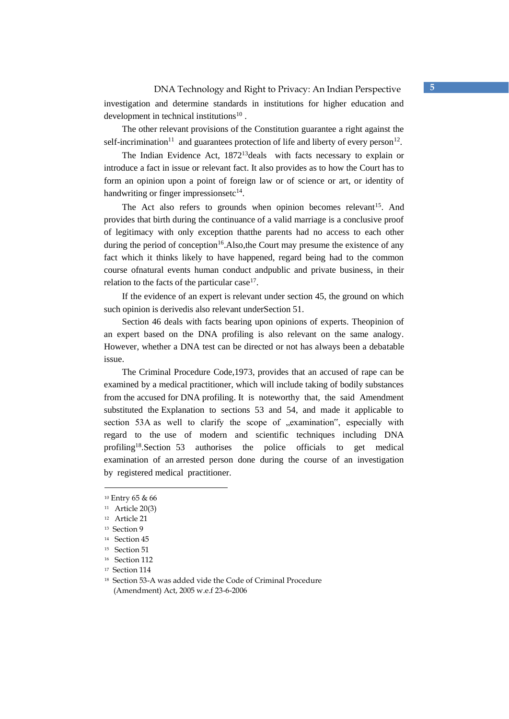The other relevant provisions of the Constitution guarantee a right against the self-incrimination<sup>11</sup> and guarantees protection of life and liberty of every person<sup>12</sup>.

The Indian Evidence Act, 1872<sup>13</sup> deals with facts necessary to explain or introduce a fact in issue or relevant fact. It also provides as to how the Court has to form an opinion upon a point of foreign law or of science or art, or identity of handwriting or finger impressionsetc<sup>14</sup>.

The Act also refers to grounds when opinion becomes relevant<sup>15</sup>. And provides that birth during the continuance of a valid marriage is a conclusive proof of legitimacy with only exception thatthe parents had no access to each other during the period of conception<sup>16</sup>. Also, the Court may presume the existence of any fact which it thinks likely to have happened, regard being had to the common course ofnatural events human conduct andpublic and private business, in their relation to the facts of the particular case $17$ .

If the evidence of an expert is relevant under section 45, the ground on which such opinion is derivedis also relevant underSection 51.

Section 46 deals with facts bearing upon opinions of experts. Theopinion of an expert based on the DNA profiling is also relevant on the same analogy. However, whether a DNA test can be directed or not has always been a debatable issue.

The Criminal Procedure Code,1973, provides that an accused of rape can be examined by a medical practitioner, which will include taking of bodily substances from the accused for DNA profiling. It is noteworthy that, the said Amendment substituted the Explanation to sections 53 and 54, and made it applicable to section 53A as well to clarify the scope of "examination", especially with regard to the use of modern and scientific techniques including DNA profiling<sup>18</sup>.Section 53 authorises the police officials to get medical examination of an arrested person done during the course of an investigation by registered medical practitioner.

<sup>10</sup> Entry 65 & 66

<sup>11</sup> Article 20(3)

<sup>12</sup> Article 21

<sup>13</sup> Section 9

<sup>14</sup> Section 45

<sup>15</sup> Section 51

<sup>16</sup> Section 112

<sup>17</sup> Section 114

<sup>18</sup> Section 53-A was added vide the Code of Criminal Procedure (Amendment) Act, 2005 w.e.f 23-6-2006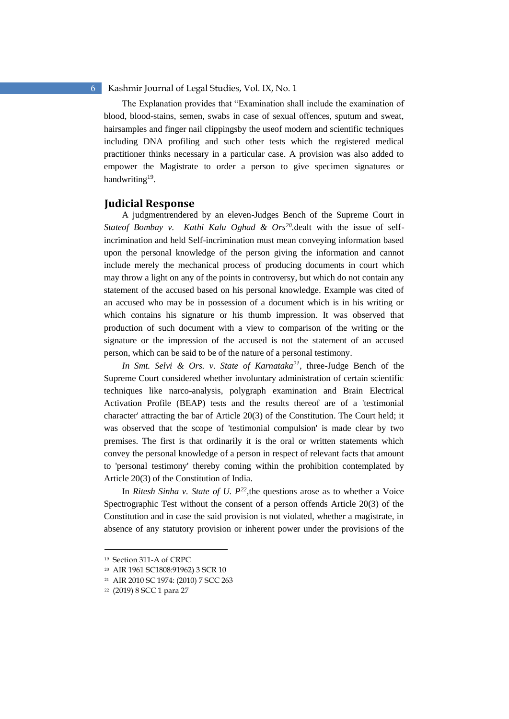The Explanation provides that "Examination shall include the examination of blood, blood-stains, semen, swabs in case of sexual offences, sputum and sweat, hairsamples and finger nail clippingsby the useof modern and scientific techniques including DNA profiling and such other tests which the registered medical practitioner thinks necessary in a particular case. A provision was also added to empower the Magistrate to order a person to give specimen signatures or handwriting<sup>19</sup>.

## **Judicial Response**

A judgmentrendered by an eleven-Judges Bench of the Supreme Court in *Stateof Bombay v. Kathi Kalu Oghad & Ors<sup>20</sup> .*dealt with the issue of selfincrimination and held Self-incrimination must mean conveying information based upon the personal knowledge of the person giving the information and cannot include merely the mechanical process of producing documents in court which may throw a light on any of the points in controversy, but which do not contain any statement of the accused based on his personal knowledge. Example was cited of an accused who may be in possession of a document which is in his writing or which contains his signature or his thumb impression. It was observed that production of such document with a view to comparison of the writing or the signature or the impression of the accused is not the statement of an accused person, which can be said to be of the nature of a personal testimony.

*In Smt. Selvi & Ors. v. State of Karnataka<sup>21</sup> ,* three-Judge Bench of the Supreme Court considered whether involuntary administration of certain scientific techniques like narco-analysis, polygraph examination and Brain Electrical Activation Profile (BEAP) tests and the results thereof are of a 'testimonial character' attracting the bar of Article 20(3) of the Constitution. The Court held; it was observed that the scope of 'testimonial compulsion' is made clear by two premises. The first is that ordinarily it is the oral or written statements which convey the personal knowledge of a person in respect of relevant facts that amount to 'personal testimony' thereby coming within the prohibition contemplated by Article 20(3) of the Constitution of India.

In *Ritesh Sinha v. State of U.*  $P^{22}$ , the questions arose as to whether a Voice Spectrographic Test without the consent of a person offends Article 20(3) of the Constitution and in case the said provision is not violated, whether a magistrate, in absence of any statutory provision or inherent power under the provisions of the

<sup>19</sup> Section 311-A of CRPC

<sup>20</sup> AIR 1961 SC1808:91962) 3 SCR 10

<sup>21</sup> AIR 2010 SC 1974: (2010) 7 SCC 263

<sup>22</sup> (2019) 8 SCC 1 para 27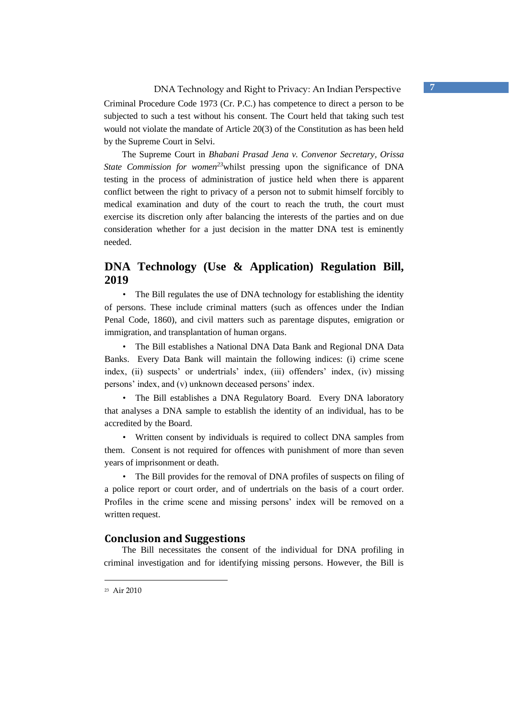Criminal Procedure Code 1973 (Cr. P.C.) has competence to direct a person to be subjected to such a test without his consent. The Court held that taking such test would not violate the mandate of Article 20(3) of the Constitution as has been held by the Supreme Court in Selvi.

The Supreme Court in *Bhabani Prasad Jena v. Convenor Secretary, Orissa State Commission for women<sup>23</sup>*whilst pressing upon the significance of DNA testing in the process of administration of justice held when there is apparent conflict between the right to privacy of a person not to submit himself forcibly to medical examination and duty of the court to reach the truth, the court must exercise its discretion only after balancing the interests of the parties and on due consideration whether for a just decision in the matter DNA test is eminently needed.

# **DNA Technology (Use & Application) Regulation Bill, 2019**

• The Bill regulates the use of DNA technology for establishing the identity of persons. These include criminal matters (such as offences under the Indian Penal Code, 1860), and civil matters such as parentage disputes, emigration or immigration, and transplantation of human organs.

• The Bill establishes a National DNA Data Bank and Regional DNA Data Banks. Every Data Bank will maintain the following indices: (i) crime scene index, (ii) suspects' or undertrials' index, (iii) offenders' index, (iv) missing persons' index, and (v) unknown deceased persons' index.

• The Bill establishes a DNA Regulatory Board. Every DNA laboratory that analyses a DNA sample to establish the identity of an individual, has to be accredited by the Board.

• Written consent by individuals is required to collect DNA samples from them. Consent is not required for offences with punishment of more than seven years of imprisonment or death.

• The Bill provides for the removal of DNA profiles of suspects on filing of a police report or court order, and of undertrials on the basis of a court order. Profiles in the crime scene and missing persons' index will be removed on a written request.

## **Conclusion and Suggestions**

The Bill necessitates the consent of the individual for DNA profiling in criminal investigation and for identifying missing persons. However, the Bill is

23 Air 2010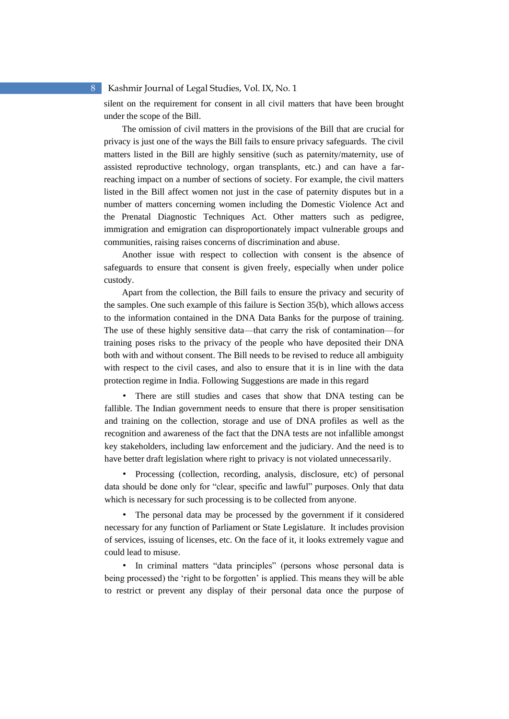silent on the requirement for consent in all civil matters that have been brought under the scope of the Bill.

The omission of civil matters in the provisions of the Bill that are crucial for privacy is just one of the ways the Bill fails to ensure privacy safeguards. The civil matters listed in the Bill are highly sensitive (such as paternity/maternity, use of assisted reproductive technology, organ transplants, etc.) and can have a farreaching impact on a number of sections of society. For example, the civil matters listed in the Bill affect women not just in the case of paternity disputes but in a number of matters concerning women including the Domestic Violence Act and the Prenatal Diagnostic Techniques Act. Other matters such as pedigree, immigration and emigration can disproportionately impact vulnerable groups and communities, raising raises concerns of discrimination and abuse.

Another issue with respect to collection with consent is the absence of safeguards to ensure that consent is given freely, especially when under police custody.

Apart from the collection, the Bill fails to ensure the privacy and security of the samples. One such example of this failure is Section 35(b), which allows access to the information contained in the DNA Data Banks for the purpose of training. The use of these highly sensitive data—that carry the risk of contamination—for training poses risks to the privacy of the people who have deposited their DNA both with and without consent. The Bill needs to be revised to reduce all ambiguity with respect to the civil cases, and also to ensure that it is in line with the data protection regime in India. Following Suggestions are made in this regard

• There are still studies and cases that show that DNA testing can be fallible. The Indian government needs to ensure that there is proper sensitisation and training on the collection, storage and use of DNA profiles as well as the recognition and awareness of the fact that the DNA tests are not infallible amongst key stakeholders, including law enforcement and the judiciary. And the need is to have better draft legislation where right to privacy is not violated unnecessarily.

• Processing (collection, recording, analysis, disclosure, etc) of personal data should be done only for "clear, specific and lawful" purposes. Only that data which is necessary for such processing is to be collected from anyone.

• The personal data may be processed by the government if it considered necessary for any function of Parliament or State Legislature. It includes provision of services, issuing of licenses, etc. On the face of it, it looks extremely vague and could lead to misuse.

• In criminal matters "data principles" (persons whose personal data is being processed) the 'right to be forgotten' is applied. This means they will be able to restrict or prevent any display of their personal data once the purpose of